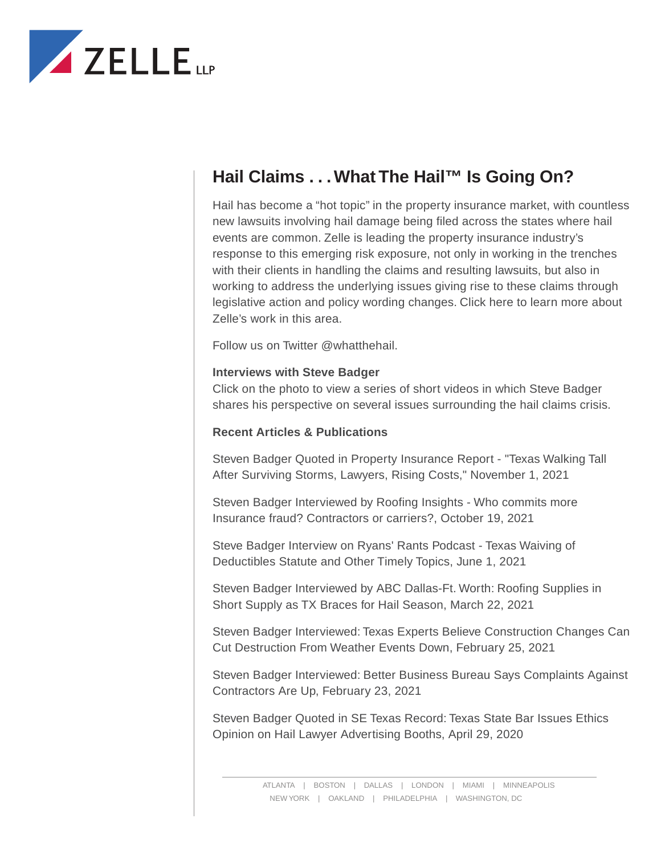

# **Hail Claims . . . What The Hail™ Is Going On?**

Hail has become a "hot topic" in the property insurance market, with countless new lawsuits involving hail damage being filed across the states where hail events are common. Zelle is leading the property insurance industry's response to this emerging risk exposure, not only in working in the trenches with their clients in handling the claims and resulting lawsuits, but also in working to address the underlying issues giving rise to these claims through legislative action and policy wording changes. Click here to learn more about Zelle's work in this area.

Follow us on Twitter @whatthehail.

#### **Interviews with Steve Badger**

Click on the photo to view a series of short videos in which Steve Badger shares his perspective on several issues surrounding the hail claims crisis.

## **Recent Articles & Publications**

Steven Badger Quoted in Property Insurance Report - "Texas Walking Tall After Surviving Storms, Lawyers, Rising Costs," November 1, 2021

Steven Badger Interviewed by Roofing Insights - Who commits more Insurance fraud? Contractors or carriers?, October 19, 2021

Steve Badger Interview on Ryans' Rants Podcast - Texas Waiving of Deductibles Statute and Other Timely Topics, June 1, 2021

Steven Badger Interviewed by ABC Dallas-Ft. Worth: Roofing Supplies in Short Supply as TX Braces for Hail Season, March 22, 2021

Steven Badger Interviewed: Texas Experts Believe Construction Changes Can Cut Destruction From Weather Events Down, February 25, 2021

Steven Badger Interviewed: Better Business Bureau Says Complaints Against Contractors Are Up, February 23, 2021

Steven Badger Quoted in SE Texas Record: Texas State Bar Issues Ethics Opinion on Hail Lawyer Advertising Booths, April 29, 2020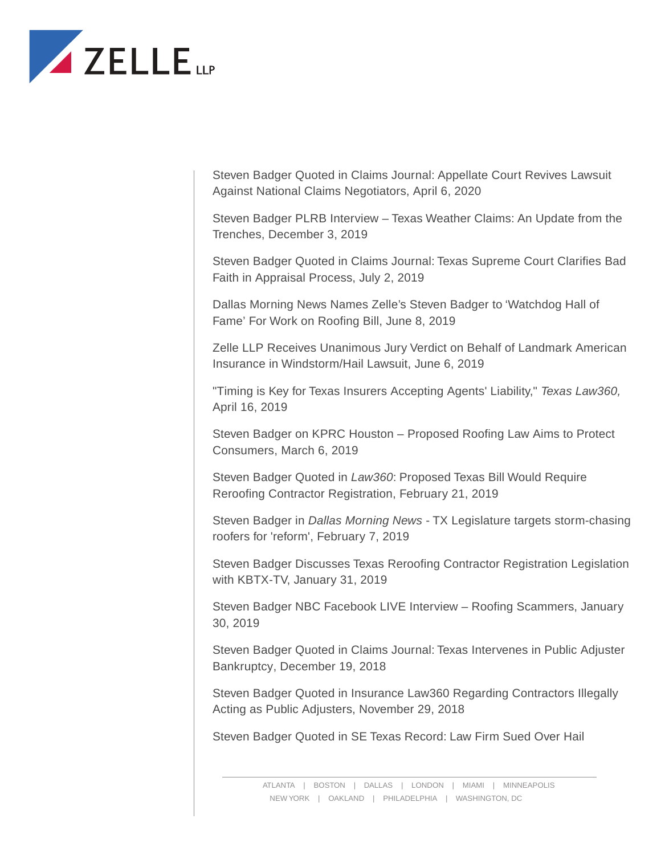

Steven Badger Quoted in Claims Journal: Appellate Court Revives Lawsuit Against National Claims Negotiators, April 6, 2020

Steven Badger PLRB Interview – Texas Weather Claims: An Update from the Trenches, December 3, 2019

Steven Badger Quoted in Claims Journal: Texas Supreme Court Clarifies Bad Faith in Appraisal Process, July 2, 2019

Dallas Morning News Names Zelle's Steven Badger to 'Watchdog Hall of Fame' For Work on Roofing Bill, June 8, 2019

Zelle LLP Receives Unanimous Jury Verdict on Behalf of Landmark American Insurance in Windstorm/Hail Lawsuit, June 6, 2019

"Timing is Key for Texas Insurers Accepting Agents' Liability," *Texas Law360,* April 16, 2019

Steven Badger on KPRC Houston – Proposed Roofing Law Aims to Protect Consumers, March 6, 2019

Steven Badger Quoted in *Law360*: Proposed Texas Bill Would Require Reroofing Contractor Registration, February 21, 2019

Steven Badger in *Dallas Morning News* - TX Legislature targets storm-chasing roofers for 'reform', February 7, 2019

Steven Badger Discusses Texas Reroofing Contractor Registration Legislation with KBTX-TV, January 31, 2019

Steven Badger NBC Facebook LIVE Interview – Roofing Scammers, January 30, 2019

Steven Badger Quoted in Claims Journal: Texas Intervenes in Public Adjuster Bankruptcy, December 19, 2018

Steven Badger Quoted in Insurance Law360 Regarding Contractors Illegally Acting as Public Adjusters, November 29, 2018

Steven Badger Quoted in SE Texas Record: Law Firm Sued Over Hail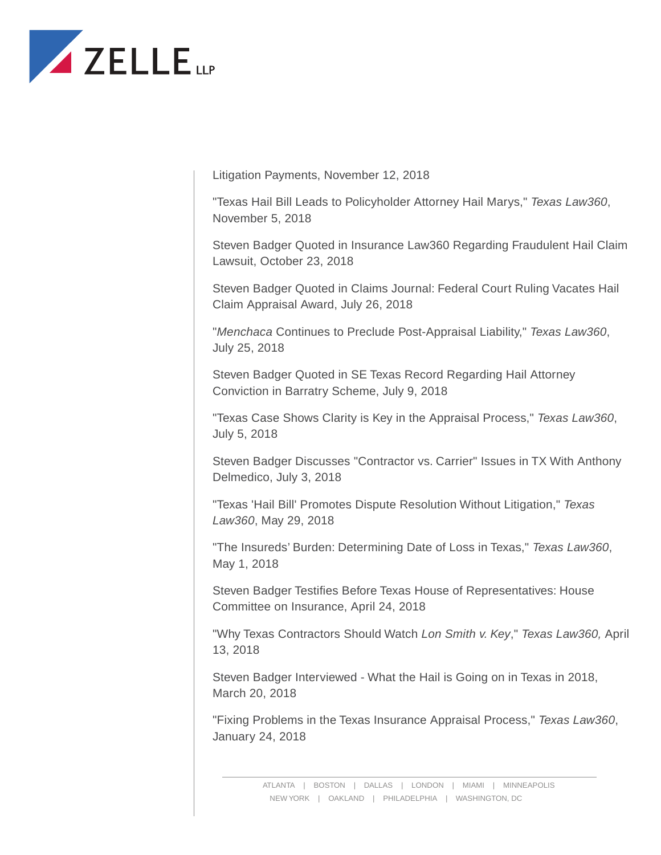

Litigation Payments, November 12, 2018

"Texas Hail Bill Leads to Policyholder Attorney Hail Marys," *Texas Law360*, November 5, 2018

Steven Badger Quoted in Insurance Law360 Regarding Fraudulent Hail Claim Lawsuit, October 23, 2018

Steven Badger Quoted in Claims Journal: Federal Court Ruling Vacates Hail Claim Appraisal Award, July 26, 2018

"*Menchaca* Continues to Preclude Post-Appraisal Liability," *Texas Law360*, July 25, 2018

Steven Badger Quoted in SE Texas Record Regarding Hail Attorney Conviction in Barratry Scheme, July 9, 2018

"Texas Case Shows Clarity is Key in the Appraisal Process," *Texas Law360*, July 5, 2018

Steven Badger Discusses "Contractor vs. Carrier" Issues in TX With Anthony Delmedico, July 3, 2018

"Texas 'Hail Bill' Promotes Dispute Resolution Without Litigation," *Texas Law360*, May 29, 2018

"The Insureds' Burden: Determining Date of Loss in Texas," *Texas Law360*, May 1, 2018

Steven Badger Testifies Before Texas House of Representatives: House Committee on Insurance, April 24, 2018

"Why Texas Contractors Should Watch *Lon Smith v. Key*," *Texas Law360,* April 13, 2018

Steven Badger Interviewed - What the Hail is Going on in Texas in 2018, March 20, 2018

"Fixing Problems in the Texas Insurance Appraisal Process," *Texas Law360*, January 24, 2018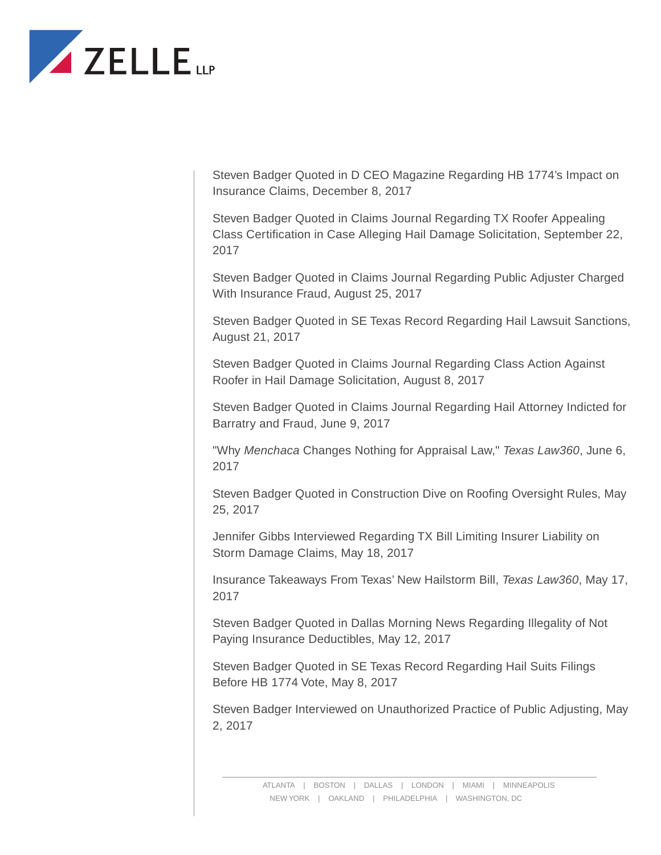

Steven Badger Quoted in D CEO Magazine Regarding HB 1774's Impact on Insurance Claims, December 8, 2017

Steven Badger Quoted in Claims Journal Regarding TX Roofer Appealing Class Certification in Case Alleging Hail Damage Solicitation, September 22, 2017

Steven Badger Quoted in Claims Journal Regarding Public Adjuster Charged With Insurance Fraud, August 25, 2017

Steven Badger Quoted in SE Texas Record Regarding Hail Lawsuit Sanctions, August 21, 2017

Steven Badger Quoted in Claims Journal Regarding Class Action Against Roofer in Hail Damage Solicitation, August 8, 2017

Steven Badger Quoted in Claims Journal Regarding Hail Attorney Indicted for Barratry and Fraud, June 9, 2017

"Why *Menchaca* Changes Nothing for Appraisal Law," *Texas Law360*, June 6, 2017

Steven Badger Quoted in Construction Dive on Roofing Oversight Rules, May 25, 2017

Jennifer Gibbs Interviewed Regarding TX Bill Limiting Insurer Liability on Storm Damage Claims, May 18, 2017

Insurance Takeaways From Texas' New Hailstorm Bill, *Texas Law360*, May 17, 2017

Steven Badger Quoted in Dallas Morning News Regarding Illegality of Not Paying Insurance Deductibles, May 12, 2017

Steven Badger Quoted in SE Texas Record Regarding Hail Suits Filings Before HB 1774 Vote, May 8, 2017

Steven Badger Interviewed on Unauthorized Practice of Public Adjusting, May 2, 2017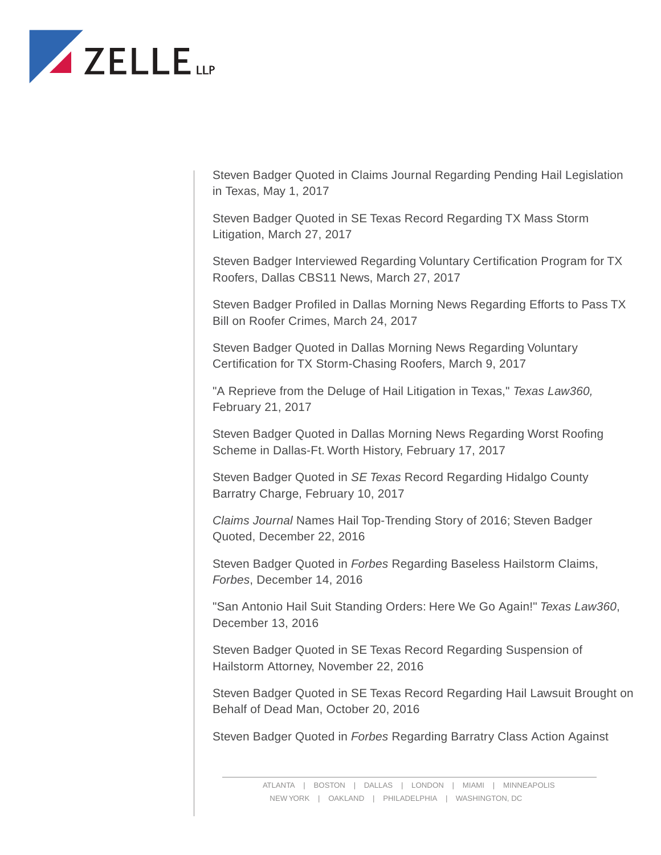

Steven Badger Quoted in Claims Journal Regarding Pending Hail Legislation in Texas, May 1, 2017

Steven Badger Quoted in SE Texas Record Regarding TX Mass Storm Litigation, March 27, 2017

Steven Badger Interviewed Regarding Voluntary Certification Program for TX Roofers, Dallas CBS11 News, March 27, 2017

Steven Badger Profiled in Dallas Morning News Regarding Efforts to Pass TX Bill on Roofer Crimes, March 24, 2017

Steven Badger Quoted in Dallas Morning News Regarding Voluntary Certification for TX Storm-Chasing Roofers, March 9, 2017

"A Reprieve from the Deluge of Hail Litigation in Texas," *Texas Law360,* February 21, 2017

Steven Badger Quoted in Dallas Morning News Regarding Worst Roofing Scheme in Dallas-Ft. Worth History, February 17, 2017

Steven Badger Quoted in *SE Texas* Record Regarding Hidalgo County Barratry Charge, February 10, 2017

*Claims Journal* Names Hail Top-Trending Story of 2016; Steven Badger Quoted, December 22, 2016

Steven Badger Quoted in *Forbes* Regarding Baseless Hailstorm Claims, *Forbes*, December 14, 2016

"San Antonio Hail Suit Standing Orders: Here We Go Again!" *Texas Law360*, December 13, 2016

Steven Badger Quoted in SE Texas Record Regarding Suspension of Hailstorm Attorney, November 22, 2016

Steven Badger Quoted in SE Texas Record Regarding Hail Lawsuit Brought on Behalf of Dead Man, October 20, 2016

Steven Badger Quoted in *Forbes* Regarding Barratry Class Action Against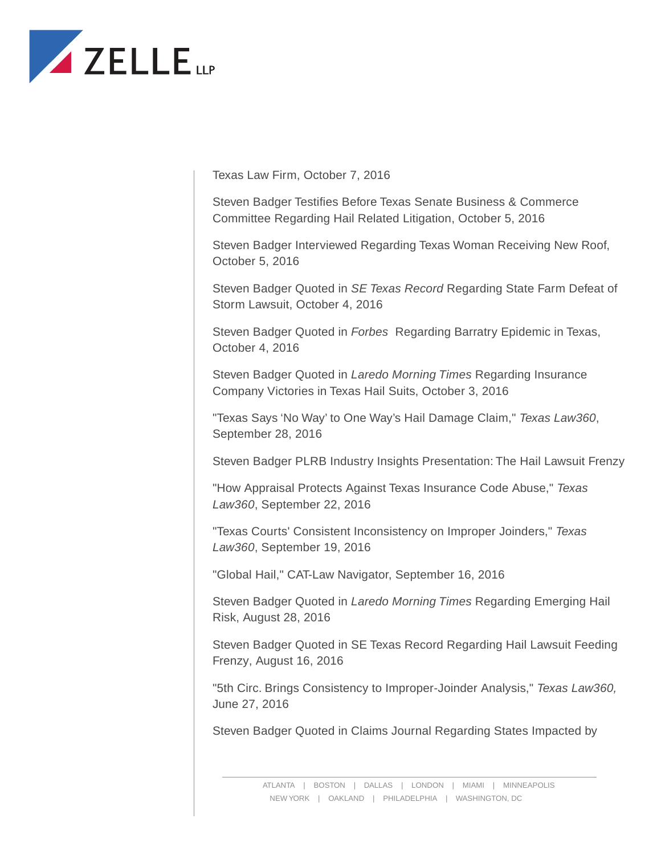

Texas Law Firm, October 7, 2016

Steven Badger Testifies Before Texas Senate Business & Commerce Committee Regarding Hail Related Litigation, October 5, 2016

Steven Badger Interviewed Regarding Texas Woman Receiving New Roof, October 5, 2016

Steven Badger Quoted in *SE Texas Record* Regarding State Farm Defeat of Storm Lawsuit, October 4, 2016

Steven Badger Quoted in *Forbes* Regarding Barratry Epidemic in Texas, October 4, 2016

Steven Badger Quoted in *Laredo Morning Times* Regarding Insurance Company Victories in Texas Hail Suits, October 3, 2016

"Texas Says 'No Way' to One Way's Hail Damage Claim," *Texas Law360*, September 28, 2016

Steven Badger PLRB Industry Insights Presentation: The Hail Lawsuit Frenzy

"How Appraisal Protects Against Texas Insurance Code Abuse," *Texas Law360*, September 22, 2016

"Texas Courts' Consistent Inconsistency on Improper Joinders," *Texas Law360*, September 19, 2016

"Global Hail," CAT-Law Navigator, September 16, 2016

Steven Badger Quoted in *Laredo Morning Times* Regarding Emerging Hail Risk, August 28, 2016

Steven Badger Quoted in SE Texas Record Regarding Hail Lawsuit Feeding Frenzy, August 16, 2016

"5th Circ. Brings Consistency to Improper-Joinder Analysis," *Texas Law360,* June 27, 2016

Steven Badger Quoted in Claims Journal Regarding States Impacted by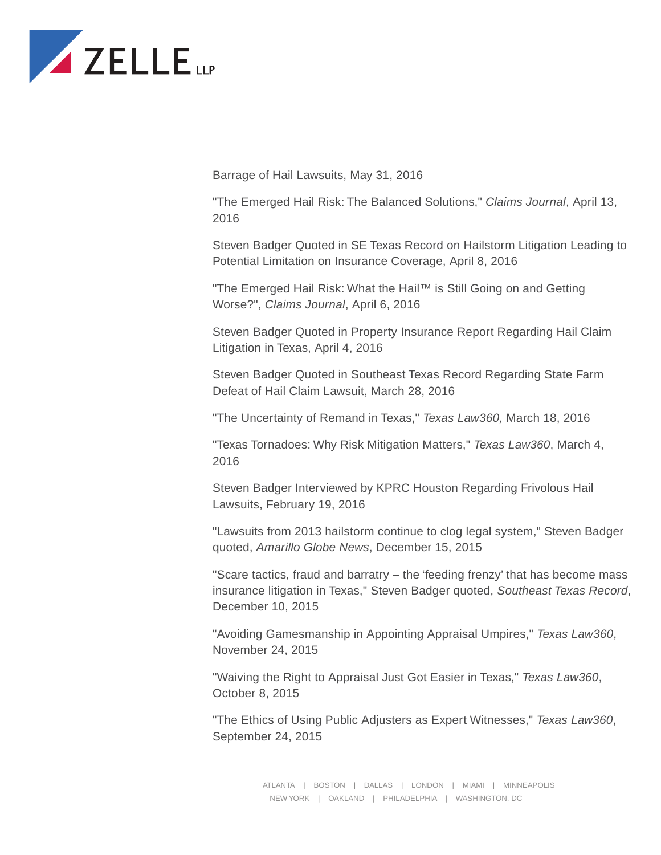

Barrage of Hail Lawsuits, May 31, 2016

"The Emerged Hail Risk: The Balanced Solutions," *Claims Journal*, April 13, 2016

Steven Badger Quoted in SE Texas Record on Hailstorm Litigation Leading to Potential Limitation on Insurance Coverage, April 8, 2016

"The Emerged Hail Risk: What the Hail™ is Still Going on and Getting Worse?", *Claims Journal*, April 6, 2016

Steven Badger Quoted in Property Insurance Report Regarding Hail Claim Litigation in Texas, April 4, 2016

Steven Badger Quoted in Southeast Texas Record Regarding State Farm Defeat of Hail Claim Lawsuit, March 28, 2016

"The Uncertainty of Remand in Texas," *Texas Law360,* March 18, 2016

"Texas Tornadoes: Why Risk Mitigation Matters," *Texas Law360*, March 4, 2016

Steven Badger Interviewed by KPRC Houston Regarding Frivolous Hail Lawsuits, February 19, 2016

"Lawsuits from 2013 hailstorm continue to clog legal system," Steven Badger quoted, *Amarillo Globe News*, December 15, 2015

"Scare tactics, fraud and barratry – the 'feeding frenzy' that has become mass insurance litigation in Texas," Steven Badger quoted, *Southeast Texas Record*, December 10, 2015

"Avoiding Gamesmanship in Appointing Appraisal Umpires," *Texas Law360*, November 24, 2015

"Waiving the Right to Appraisal Just Got Easier in Texas," *Texas Law360*, October 8, 2015

"The Ethics of Using Public Adjusters as Expert Witnesses," *Texas Law360*, September 24, 2015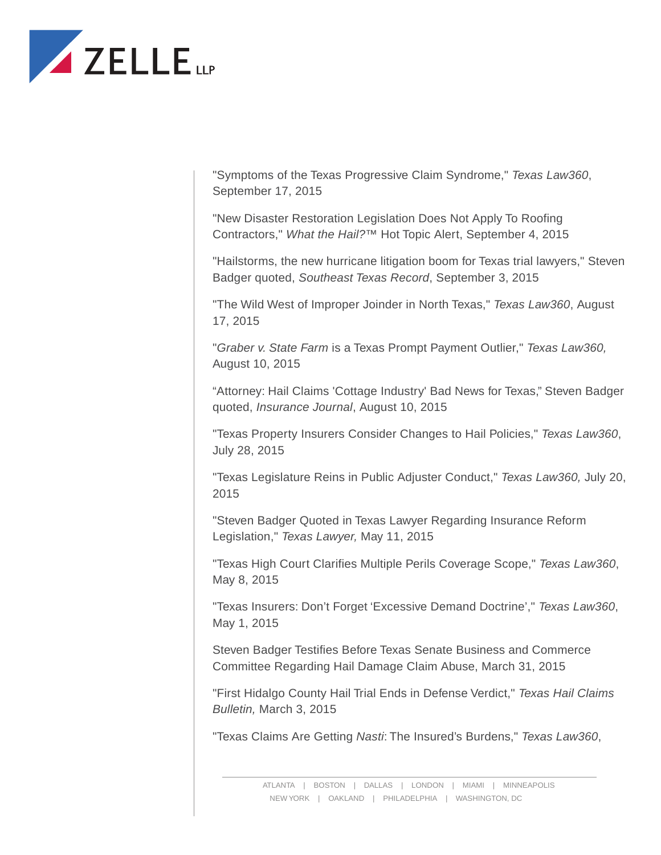

"Symptoms of the Texas Progressive Claim Syndrome," *Texas Law360*, September 17, 2015

"New Disaster Restoration Legislation Does Not Apply To Roofing Contractors," *What the Hail?™* Hot Topic Alert, September 4, 2015

"Hailstorms, the new hurricane litigation boom for Texas trial lawyers," Steven Badger quoted, *Southeast Texas Record*, September 3, 2015

"The Wild West of Improper Joinder in North Texas," *Texas Law360*, August 17, 2015

"*Graber v. State Farm* is a Texas Prompt Payment Outlier," *Texas Law360,* August 10, 2015

"Attorney: Hail Claims 'Cottage Industry' Bad News for Texas," Steven Badger quoted, *Insurance Journal*, August 10, 2015

"Texas Property Insurers Consider Changes to Hail Policies," *Texas Law360*, July 28, 2015

"Texas Legislature Reins in Public Adjuster Conduct," *Texas Law360,* July 20, 2015

"Steven Badger Quoted in Texas Lawyer Regarding Insurance Reform Legislation," *Texas Lawyer,* May 11, 2015

"Texas High Court Clarifies Multiple Perils Coverage Scope," *Texas Law360*, May 8, 2015

"Texas Insurers: Don't Forget 'Excessive Demand Doctrine'," *Texas Law360*, May 1, 2015

Steven Badger Testifies Before Texas Senate Business and Commerce Committee Regarding Hail Damage Claim Abuse, March 31, 2015

"First Hidalgo County Hail Trial Ends in Defense Verdict," *Texas Hail Claims Bulletin,* March 3, 2015

"Texas Claims Are Getting *Nasti*: The Insured's Burdens," *Texas Law360*,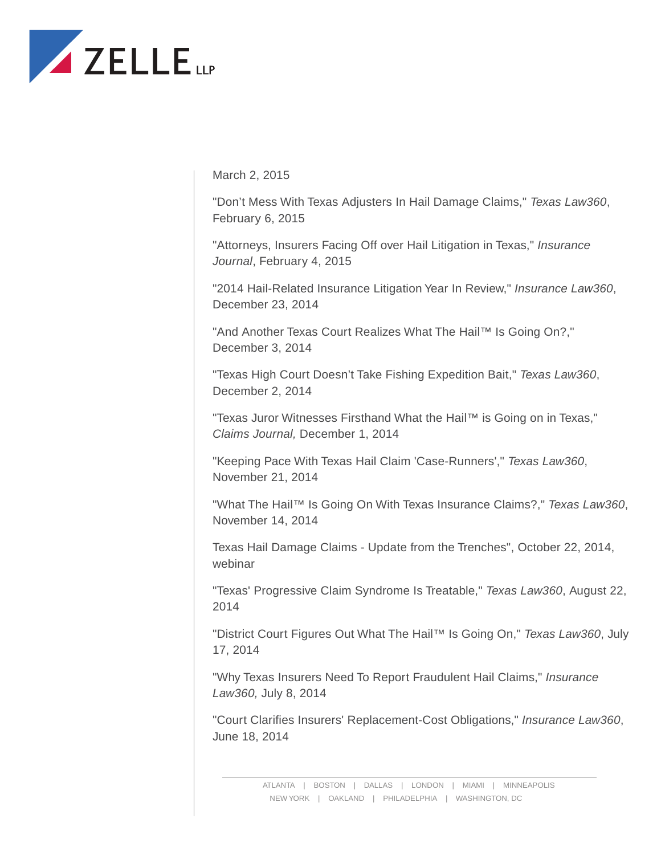

March 2, 2015

"Don't Mess With Texas Adjusters In Hail Damage Claims," *Texas Law360*, February 6, 2015

"Attorneys, Insurers Facing Off over Hail Litigation in Texas," *Insurance Journal*, February 4, 2015

"2014 Hail-Related Insurance Litigation Year In Review," *Insurance Law360*, December 23, 2014

"And Another Texas Court Realizes What The Hail™ Is Going On?," December 3, 2014

"Texas High Court Doesn't Take Fishing Expedition Bait," *Texas Law360*, December 2, 2014

"Texas Juror Witnesses Firsthand What the Hail™ is Going on in Texas," *Claims Journal,* December 1, 2014

"Keeping Pace With Texas Hail Claim 'Case-Runners'," *Texas Law360*, November 21, 2014

"What The Hail™ Is Going On With Texas Insurance Claims?," *Texas Law360*, November 14, 2014

Texas Hail Damage Claims - Update from the Trenches", October 22, 2014, webinar

"Texas' Progressive Claim Syndrome Is Treatable," *Texas Law360*, August 22, 2014

"District Court Figures Out What The Hail™ Is Going On," *Texas Law360*, July 17, 2014

"Why Texas Insurers Need To Report Fraudulent Hail Claims," *Insurance Law360,* July 8, 2014

"Court Clarifies Insurers' Replacement-Cost Obligations," *Insurance Law360*, June 18, 2014